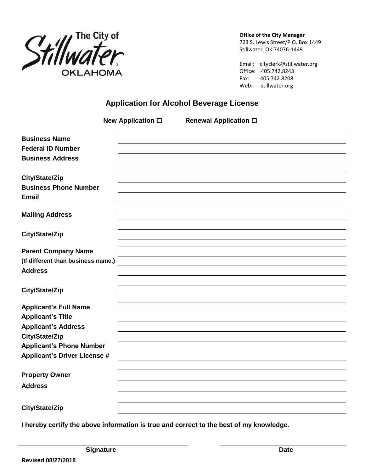

**Office of the City Manager**

723 S. Lewis Street/P.O. Box 1449 Stillwater, OK 74076-1449

Email: cityclerk@stillwater.org Office: 405.742.8243 Fax: 405.742.8208 Web: stillwater.org

# **Application for Alcohol Beverage License**

|                                     | New Application □ | <b>Renewal Application □</b> |  |
|-------------------------------------|-------------------|------------------------------|--|
| <b>Business Name</b>                |                   |                              |  |
| <b>Federal ID Number</b>            |                   |                              |  |
| <b>Business Address</b>             |                   |                              |  |
|                                     |                   |                              |  |
| City/State/Zip                      |                   |                              |  |
| <b>Business Phone Number</b>        |                   |                              |  |
| <b>Email</b>                        |                   |                              |  |
| <b>Mailing Address</b>              |                   |                              |  |
| City/State/Zip                      |                   |                              |  |
| <b>Parent Company Name</b>          |                   |                              |  |
| (If different than business name.)  |                   |                              |  |
| <b>Address</b>                      |                   |                              |  |
|                                     |                   |                              |  |
| City/State/Zip                      |                   |                              |  |
| <b>Applicant's Full Name</b>        |                   |                              |  |
| <b>Applicant's Title</b>            |                   |                              |  |
| <b>Applicant's Address</b>          |                   |                              |  |
| City/State/Zip                      |                   |                              |  |
| <b>Applicant's Phone Number</b>     |                   |                              |  |
| <b>Applicant's Driver License #</b> |                   |                              |  |
| <b>Property Owner</b>               |                   |                              |  |
| <b>Address</b>                      |                   |                              |  |
|                                     |                   |                              |  |
| City/State/Zip                      |                   |                              |  |

**I hereby certify the above information is true and correct to the best of my knowledge.**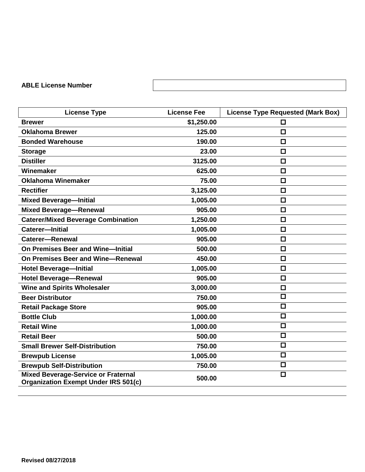## **ABLE License Number**

| <b>License Type</b>                                                                       | <b>License Fee</b> | <b>License Type Requested (Mark Box)</b> |
|-------------------------------------------------------------------------------------------|--------------------|------------------------------------------|
| <b>Brewer</b>                                                                             | \$1,250.00         | □                                        |
| <b>Oklahoma Brewer</b>                                                                    | 125.00             | $\Box$                                   |
| <b>Bonded Warehouse</b>                                                                   | 190.00             | $\Box$                                   |
| <b>Storage</b>                                                                            | 23.00              | $\Box$                                   |
| <b>Distiller</b>                                                                          | 3125.00            | $\Box$                                   |
| Winemaker                                                                                 | 625.00             | $\Box$                                   |
| <b>Oklahoma Winemaker</b>                                                                 | 75.00              | $\Box$                                   |
| <b>Rectifier</b>                                                                          | 3,125.00           | □                                        |
| <b>Mixed Beverage-Initial</b>                                                             | 1,005.00           | $\Box$                                   |
| <b>Mixed Beverage-Renewal</b>                                                             | 905.00             | $\Box$                                   |
| <b>Caterer/Mixed Beverage Combination</b>                                                 | 1,250.00           | $\Box$                                   |
| Caterer-Initial                                                                           | 1,005.00           | $\Box$                                   |
| <b>Caterer-Renewal</b>                                                                    | 905.00             | $\Box$                                   |
| On Premises Beer and Wine-Initial                                                         | 500.00             | $\Box$                                   |
| On Premises Beer and Wine-Renewal                                                         | 450.00             | $\Box$                                   |
| <b>Hotel Beverage-Initial</b>                                                             | 1,005.00           | $\Box$                                   |
| <b>Hotel Beverage-Renewal</b>                                                             | 905.00             | $\Box$                                   |
| <b>Wine and Spirits Wholesaler</b>                                                        | 3,000.00           | $\Box$                                   |
| <b>Beer Distributor</b>                                                                   | 750.00             | $\Box$                                   |
| <b>Retail Package Store</b>                                                               | 905.00             | $\Box$                                   |
| <b>Bottle Club</b>                                                                        | 1,000.00           | $\Box$                                   |
| <b>Retail Wine</b>                                                                        | 1,000.00           | $\Box$                                   |
| <b>Retail Beer</b>                                                                        | 500.00             | $\Box$                                   |
| <b>Small Brewer Self-Distribution</b>                                                     | 750.00             | $\Box$                                   |
| <b>Brewpub License</b>                                                                    | 1,005.00           | $\Box$                                   |
| <b>Brewpub Self-Distribution</b>                                                          | 750.00             | $\Box$                                   |
| <b>Mixed Beverage-Service or Fraternal</b><br><b>Organization Exempt Under IRS 501(c)</b> | 500.00             | $\overline{\square}$                     |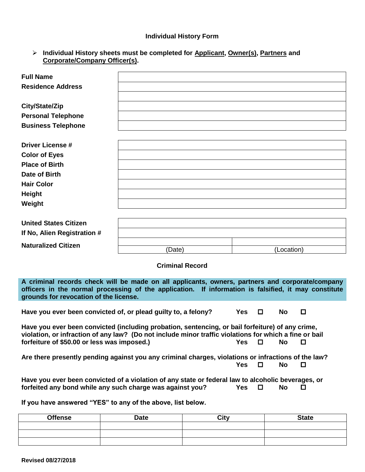#### **Individual History Form**

| > Individual History sheets must be completed for Applicant, Owner(s), Partners and |
|-------------------------------------------------------------------------------------|
| Corporate/Company Officer(s).                                                       |

| <b>Full Name</b>             |        |            |
|------------------------------|--------|------------|
| <b>Residence Address</b>     |        |            |
|                              |        |            |
| City/State/Zip               |        |            |
| <b>Personal Telephone</b>    |        |            |
| <b>Business Telephone</b>    |        |            |
|                              |        |            |
| <b>Driver License #</b>      |        |            |
| <b>Color of Eyes</b>         |        |            |
| <b>Place of Birth</b>        |        |            |
| Date of Birth                |        |            |
| <b>Hair Color</b>            |        |            |
| <b>Height</b>                |        |            |
| Weight                       |        |            |
|                              |        |            |
| <b>United States Citizen</b> |        |            |
| If No, Alien Registration #  |        |            |
| <b>Naturalized Citizen</b>   |        |            |
|                              | (Date) | (Location) |

**Criminal Record**

**A criminal records check will be made on all applicants, owners, partners and corporate/company officers in the normal processing of the application. If information is falsified, it may constitute grounds for revocation of the license.**

**Have you ever been convicted of, or plead guilty to, a felony? Yes □ No** 

**Have you ever been convicted (including probation, sentencing, or bail forfeiture) of any crime, violation, or infraction of any law? (Do not include minor traffic violations for which a fine or bail forfeiture of \$50.00 or less was imposed.) Yes No**

Are there presently pending against you any criminal charges, violations or infractions of the law?<br>No □ **Yes No**

**Have you ever been convicted of a violation of any state or federal law to alcoholic beverages, or forfeited any bond while any such charge was against you?** Yes  $\Box$  No  $\Box$ 

**If you have answered "YES" to any of the above, list below.**

| <b>Offense</b> | <b>Date</b> | City | <b>State</b> |
|----------------|-------------|------|--------------|
|                |             |      |              |
|                |             |      |              |
|                |             |      |              |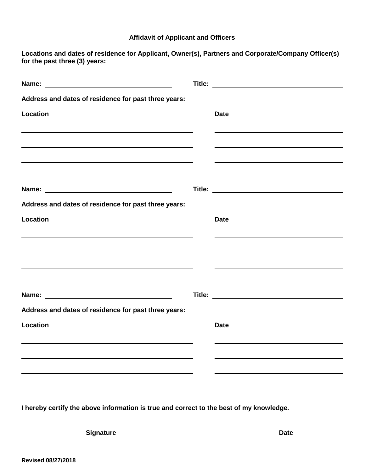### **Affidavit of Applicant and Officers**

**Locations and dates of residence for Applicant, Owner(s), Partners and Corporate/Company Officer(s) for the past three (3) years:**

| Address and dates of residence for past three years:                                                             |             |
|------------------------------------------------------------------------------------------------------------------|-------------|
| Location                                                                                                         | <b>Date</b> |
|                                                                                                                  |             |
|                                                                                                                  |             |
|                                                                                                                  |             |
|                                                                                                                  |             |
|                                                                                                                  |             |
| Address and dates of residence for past three years:                                                             |             |
| <b>Location</b>                                                                                                  | <b>Date</b> |
|                                                                                                                  |             |
| and the control of the control of the control of the control of the control of the control of the control of the |             |
|                                                                                                                  |             |
|                                                                                                                  |             |
|                                                                                                                  |             |
| Address and dates of residence for past three years:                                                             |             |
| Location                                                                                                         | <b>Date</b> |
|                                                                                                                  |             |
|                                                                                                                  |             |
|                                                                                                                  |             |
|                                                                                                                  |             |

**I hereby certify the above information is true and correct to the best of my knowledge.**

**Signature** Date